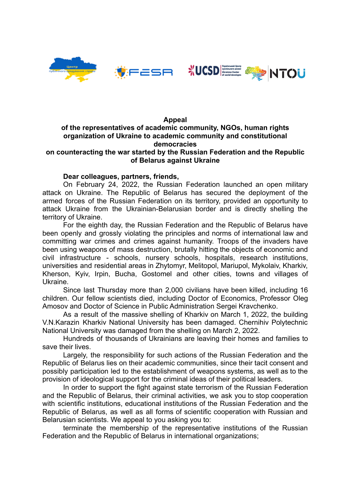



#### **Appeal**

# **of the representatives of academic community, NGOs, human rights organization of Ukraine to academic community and constitutional democracies**

## **on counteracting the war started by the Russian Federation and the Republic of Belarus against Ukraine**

### **Dear colleagues, partners, friends,**

On February 24, 2022, the Russian Federation launched an open military attack on Ukraine. The Republic of Belarus has secured the deployment of the armed forces of the Russian Federation on its territory, provided an opportunity to attack Ukraine from the Ukrainian-Belarusian border and is directly shelling the territory of Ukraine.

For the eighth day, the Russian Federation and the Republic of Belarus have been openly and grossly violating the principles and norms of international law and committing war crimes and crimes against humanity. Troops of the invaders have been using weapons of mass destruction, brutally hitting the objects of economic and civil infrastructure - schools, nursery schools, hospitals, research institutions, universities and residential areas in Zhytomyr, Melitopol, Mariupol, Mykolaiv, Kharkiv, Kherson, Kyiv, Irpin, Bucha, Gostomel and other cities, towns and villages of Ukraine.

Since last Thursday more than 2,000 civilians have been killed, including 16 children. Our fellow scientists died, including Doctor of Economics, Professor Oleg Amosov and Doctor of Science in Public Administration Sergei Kravchenko.

As a result of the massive shelling of Kharkiv on March 1, 2022, the building V.N.Karazin Kharkiv National University has been damaged. Chernihiv Polytechnic National University was damaged from the shelling on March 2, 2022.

Hundreds of thousands of Ukrainians are leaving their homes and families to save their lives.

Largely, the responsibility for such actions of the Russian Federation and the Republic of Belarus lies on their academic communities, since their tacit consent and possibly participation led to the establishment of weapons systems, as well as to the provision of ideological support for the criminal ideas of their political leaders.

In order to support the fight against state terrorism of the Russian Federation and the Republic of Belarus, their criminal activities, we ask you to stop cooperation with scientific institutions, educational institutions of the Russian Federation and the Republic of Belarus, as well as all forms of scientific cooperation with Russian and Belarusian scientists. We appeal to you asking you to:

terminate the membership of the representative institutions of the Russian Federation and the Republic of Belarus in international organizations;